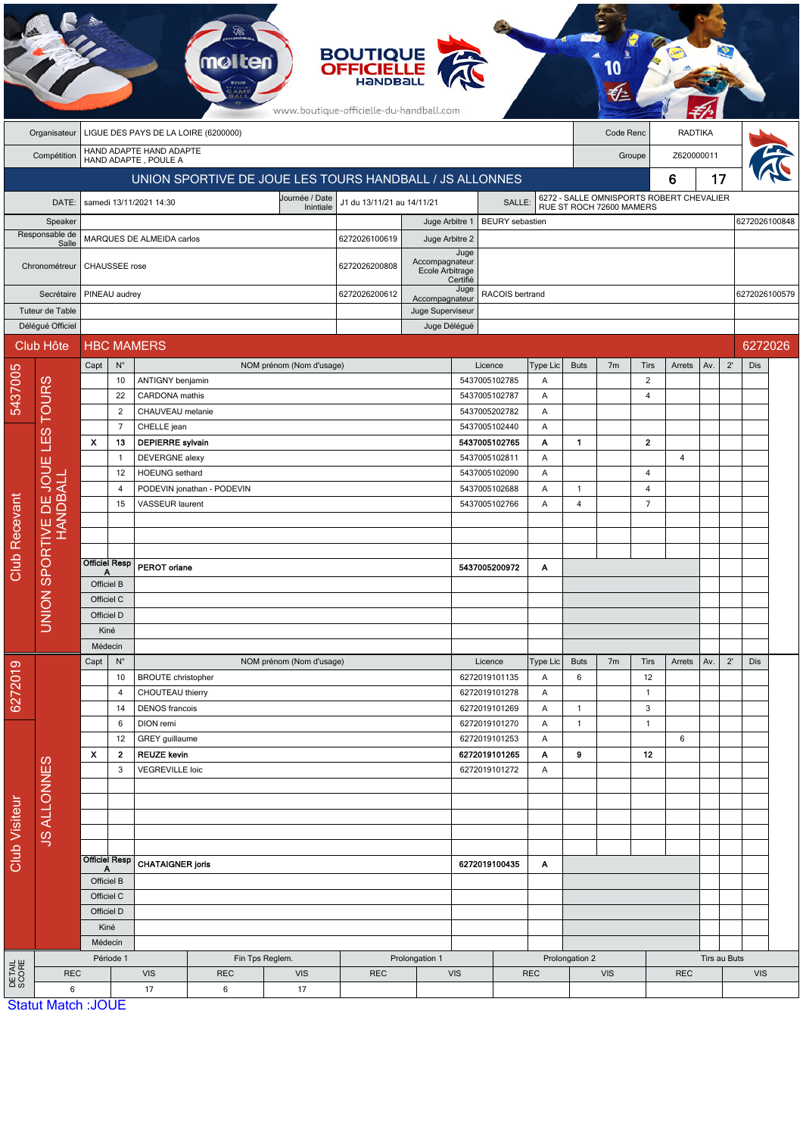| <b>BOUTIQUE</b><br><b>OFFICIELLE</b><br>HANDBALL<br>www.boutique-officielle-du-handball.com |                                                                   |                                                              |                                    |                                               |                          |                          |                                                         |                  |                                |                                |                                                                      |                                |                    |                                  |                |              |               |         |  |
|---------------------------------------------------------------------------------------------|-------------------------------------------------------------------|--------------------------------------------------------------|------------------------------------|-----------------------------------------------|--------------------------|--------------------------|---------------------------------------------------------|------------------|--------------------------------|--------------------------------|----------------------------------------------------------------------|--------------------------------|--------------------|----------------------------------|----------------|--------------|---------------|---------|--|
|                                                                                             | LIGUE DES PAYS DE LA LOIRE (6200000)<br>Code Renc<br>Organisateur |                                                              |                                    |                                               |                          |                          |                                                         |                  |                                | <b>RADTIKA</b>                 |                                                                      |                                |                    |                                  |                |              |               |         |  |
|                                                                                             | Compétition                                                       | HAND ADAPTE HAND ADAPTE<br>HAND ADAPTE, POULE A              |                                    |                                               |                          |                          |                                                         |                  |                                |                                |                                                                      | Groupe                         |                    |                                  | Z620000011     |              |               |         |  |
|                                                                                             |                                                                   |                                                              |                                    |                                               |                          |                          | UNION SPORTIVE DE JOUE LES TOURS HANDBALL / JS ALLONNES |                  |                                |                                |                                                                      | 17<br>6                        |                    |                                  |                |              |               |         |  |
|                                                                                             | DATE:                                                             |                                                              |                                    | samedi 13/11/2021 14:30                       |                          | Journée / Date           | J1 du 13/11/21 au 14/11/21                              |                  |                                | SALLE:                         |                                                                      |                                |                    |                                  |                |              |               |         |  |
|                                                                                             | Speaker                                                           |                                                              |                                    |                                               |                          | Inintiale                | <b>BEURY</b> sebastien<br>Juge Arbitre 1                |                  |                                |                                | 6272 - SALLE OMNISPORTS ROBERT CHEVALIER<br>RUE ST ROCH 72600 MAMERS |                                |                    |                                  |                |              | 6272026100848 |         |  |
| Responsable de                                                                              |                                                                   | MARQUES DE ALMEIDA carlos                                    |                                    |                                               |                          |                          | 6272026100619                                           | Juge Arbitre 2   |                                |                                |                                                                      |                                |                    |                                  |                |              |               |         |  |
| Salle                                                                                       |                                                                   |                                                              |                                    |                                               |                          |                          |                                                         | Accompagnateur   | Juge                           |                                |                                                                      |                                |                    |                                  |                |              |               |         |  |
|                                                                                             | Chronométreur                                                     | CHAUSSEE rose                                                |                                    |                                               |                          |                          | 6272026200808<br>Ecole Arbitrage                        |                  | Certifié                       |                                |                                                                      |                                |                    |                                  |                |              |               |         |  |
|                                                                                             | Secrétaire                                                        |                                                              | PINEAU audrey<br>6272026200612     |                                               |                          |                          |                                                         | Accompagnateur   | Juge                           | RACOIS bertrand                | 6272026100579                                                        |                                |                    |                                  |                |              |               |         |  |
|                                                                                             | Tuteur de Table                                                   |                                                              |                                    |                                               |                          |                          |                                                         | Juge Superviseur |                                |                                |                                                                      |                                |                    |                                  |                |              |               |         |  |
|                                                                                             | Délégué Officiel                                                  |                                                              |                                    |                                               |                          |                          |                                                         |                  | Juge Délégué                   |                                |                                                                      |                                |                    |                                  |                |              |               |         |  |
|                                                                                             | Club Hôte                                                         |                                                              |                                    | <b>HBC MAMERS</b>                             |                          |                          |                                                         |                  |                                |                                |                                                                      |                                |                    |                                  |                |              |               | 6272026 |  |
|                                                                                             |                                                                   | Capt                                                         | $N^{\circ}$                        |                                               |                          | NOM prénom (Nom d'usage) |                                                         |                  |                                | Licence                        | <b>Type Lic</b>                                                      | <b>Buts</b>                    | 7 <sub>m</sub>     | Tirs                             | Arrets         | Av.          | $2^{\prime}$  | Dis     |  |
| 5437005                                                                                     | <b>TOURS</b>                                                      |                                                              | 10<br>22                           | ANTIGNY benjamin<br>CARDONA mathis            |                          |                          |                                                         |                  |                                | 5437005102785<br>5437005102787 | A<br>A                                                               |                                |                    | $\overline{2}$<br>$\overline{4}$ |                |              |               |         |  |
|                                                                                             |                                                                   |                                                              | $\overline{2}$                     | CHAUVEAU melanie                              |                          |                          |                                                         |                  |                                | 5437005202782                  |                                                                      |                                |                    |                                  |                |              |               |         |  |
|                                                                                             |                                                                   |                                                              | $\overline{7}$                     | CHELLE jean                                   |                          |                          |                                                         |                  |                                | 5437005102440                  | Α<br>A                                                               |                                |                    |                                  |                |              |               |         |  |
|                                                                                             | ES<br>⊒                                                           | X                                                            | 13                                 | <b>DEPIERRE</b> sylvain                       |                          |                          |                                                         |                  |                                | 5437005102765                  | Α                                                                    | $\mathbf{1}$                   |                    | $\mathbf{2}$                     |                |              |               |         |  |
|                                                                                             | Ш                                                                 |                                                              | $\overline{1}$                     | DEVERGNE alexy                                |                          |                          |                                                         |                  |                                | 5437005102811                  | Α                                                                    |                                |                    |                                  | $\overline{4}$ |              |               |         |  |
|                                                                                             | JOUE<br><b>HANDBALL</b><br>HANDBALL                               |                                                              | 12                                 | <b>HOEUNG</b> sethard                         |                          |                          |                                                         |                  | 5437005102090                  |                                | A                                                                    |                                |                    | 4                                |                |              |               |         |  |
|                                                                                             |                                                                   |                                                              | 4<br>15                            | PODEVIN jonathan - PODEVIN<br>VASSEUR laurent |                          |                          | 5437005102688<br>5437005102766                          |                  |                                |                                | A<br>Α                                                               | $\mathbf{1}$<br>$\overline{4}$ |                    | $\overline{4}$<br>$\overline{7}$ |                |              |               |         |  |
|                                                                                             |                                                                   |                                                              |                                    |                                               |                          |                          |                                                         |                  |                                |                                |                                                                      |                                |                    |                                  |                |              |               |         |  |
| <b>Club Recevant</b>                                                                        |                                                                   |                                                              |                                    |                                               |                          |                          |                                                         |                  |                                |                                |                                                                      |                                |                    |                                  |                |              |               |         |  |
|                                                                                             | SPORTIVE<br><b>UNION</b>                                          |                                                              |                                    |                                               |                          |                          |                                                         |                  |                                |                                |                                                                      |                                |                    |                                  |                |              |               |         |  |
|                                                                                             |                                                                   | <b>Officiel Resp</b><br>А                                    |                                    | PEROT oriane                                  |                          |                          |                                                         |                  |                                | 5437005200972                  | Α                                                                    |                                |                    |                                  |                |              |               |         |  |
|                                                                                             |                                                                   | Officiel B<br>Officiel C                                     |                                    |                                               |                          |                          |                                                         |                  |                                |                                |                                                                      |                                |                    |                                  |                |              |               |         |  |
|                                                                                             |                                                                   | Officiel D                                                   |                                    |                                               |                          |                          |                                                         |                  |                                |                                |                                                                      |                                |                    |                                  |                |              |               |         |  |
|                                                                                             |                                                                   | Kiné                                                         |                                    |                                               |                          |                          |                                                         |                  |                                |                                |                                                                      |                                |                    |                                  |                |              |               |         |  |
|                                                                                             |                                                                   | Médecin                                                      |                                    |                                               |                          |                          |                                                         |                  |                                |                                |                                                                      |                                |                    |                                  |                |              |               |         |  |
| 6272019                                                                                     |                                                                   | Capt<br>$N^{\circ}$<br>10<br>$\overline{4}$<br>14<br>6<br>12 |                                    |                                               | NOM prénom (Nom d'usage) |                          |                                                         |                  | Licence                        | Type Lic                       | <b>Buts</b>                                                          | 7 <sub>m</sub>                 | Tirs               | Arrets                           | Av.            | $2^{\prime}$ | Dis           |         |  |
|                                                                                             |                                                                   |                                                              |                                    | <b>BROUTE</b> christopher                     |                          |                          |                                                         |                  | 6272019101135<br>6272019101278 | Α<br>Α                         | 6                                                                    |                                | 12<br>$\mathbf{1}$ |                                  |                |              |               |         |  |
|                                                                                             |                                                                   |                                                              |                                    | CHOUTEAU thierry<br><b>DENOS</b> francois     |                          |                          |                                                         |                  | 6272019101269                  | Α                              | $\mathbf{1}$                                                         |                                | 3                  |                                  |                |              |               |         |  |
| <b>Club Visiteur</b>                                                                        |                                                                   |                                                              |                                    | DION remi                                     |                          |                          |                                                         |                  |                                | 6272019101270                  | A                                                                    | $\mathbf{1}$                   |                    | $\mathbf{1}$                     |                |              |               |         |  |
|                                                                                             |                                                                   |                                                              |                                    | GREY guillaume                                |                          |                          |                                                         |                  | 6272019101253                  |                                |                                                                      |                                |                    | 6                                |                |              |               |         |  |
|                                                                                             |                                                                   | X                                                            | $\mathbf{2}$<br><b>REUZE kevin</b> |                                               |                          |                          |                                                         | 6272019101265    |                                | A                              | 9                                                                    |                                | 12                 |                                  |                |              |               |         |  |
|                                                                                             |                                                                   |                                                              | 3<br><b>VEGREVILLE loic</b>        |                                               |                          |                          |                                                         | 6272019101272    |                                | Α                              |                                                                      |                                |                    |                                  |                |              |               |         |  |
|                                                                                             | <b>JS ALLONNES</b>                                                |                                                              |                                    |                                               |                          |                          |                                                         |                  |                                |                                |                                                                      |                                |                    |                                  |                |              |               |         |  |
|                                                                                             |                                                                   |                                                              |                                    |                                               |                          |                          |                                                         |                  |                                |                                |                                                                      |                                |                    |                                  |                |              |               |         |  |
|                                                                                             |                                                                   |                                                              |                                    |                                               |                          |                          |                                                         |                  |                                |                                |                                                                      |                                |                    |                                  |                |              |               |         |  |
|                                                                                             |                                                                   |                                                              |                                    |                                               |                          |                          |                                                         |                  |                                |                                |                                                                      |                                |                    |                                  |                |              |               |         |  |
|                                                                                             |                                                                   | <b>Officiel Resp</b><br>A<br>Officiel B<br>Officiel C        |                                    | <b>CHATAIGNER joris</b>                       |                          |                          |                                                         | 6272019100435    |                                | Α                              |                                                                      |                                |                    |                                  |                |              |               |         |  |
|                                                                                             |                                                                   |                                                              |                                    |                                               |                          |                          |                                                         |                  |                                |                                |                                                                      |                                |                    |                                  |                |              |               |         |  |
|                                                                                             |                                                                   |                                                              | Officiel D                         |                                               |                          |                          |                                                         |                  |                                |                                |                                                                      |                                |                    |                                  |                |              |               |         |  |
|                                                                                             |                                                                   |                                                              | Kiné                               |                                               |                          |                          |                                                         |                  |                                |                                |                                                                      |                                |                    |                                  |                |              |               |         |  |
|                                                                                             |                                                                   |                                                              | Médecin                            |                                               |                          |                          |                                                         |                  |                                |                                |                                                                      |                                |                    |                                  |                |              |               |         |  |
| DETAIL<br>SCORE                                                                             |                                                                   |                                                              | Période 1                          | Prolongation 1<br>Fin Tps Reglem.             |                          |                          |                                                         |                  |                                |                                | Prolongation 2                                                       |                                |                    |                                  |                | Tirs au Buts |               |         |  |
|                                                                                             | <b>REC</b><br>6                                                   |                                                              |                                    | <b>VIS</b><br>17                              | <b>REC</b><br>6          | <b>VIS</b><br>17         | <b>REC</b>                                              | <b>VIS</b>       |                                |                                | <b>REC</b>                                                           |                                | <b>VIS</b>         |                                  | <b>REC</b>     |              | <b>VIS</b>    |         |  |
|                                                                                             | Statut Match : IOLIF                                              |                                                              |                                    |                                               |                          |                          |                                                         |                  |                                |                                |                                                                      |                                |                    |                                  |                |              |               |         |  |

Statut Match :JOUE